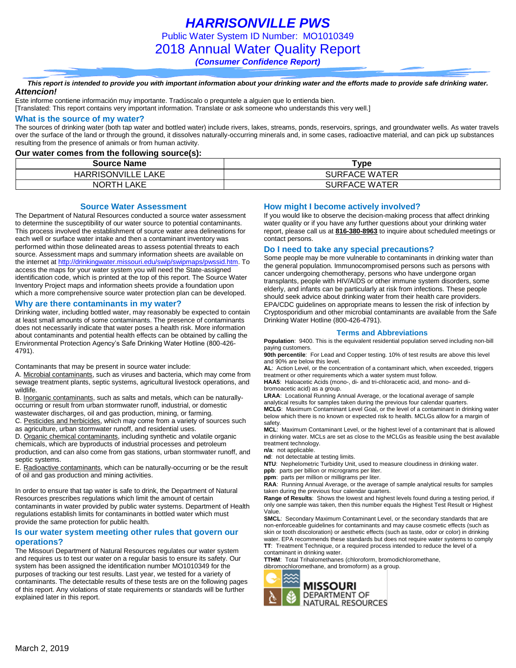*HARRISONVILLE PWS* Public Water System ID Number: MO1010349 2018 Annual Water Quality Report *(Consumer Confidence Report)*

*This report is intended to provide you with important information about your drinking water and the efforts made to provide safe drinking water. Attencion!*

Este informe contiene información muy importante. Tradúscalo o prequntele a alguien que lo entienda bien.

[Translated: This report contains very important information. Translate or ask someone who understands this very well.]

### **What is the source of my water?**

The sources of drinking water (both tap water and bottled water) include rivers, lakes, streams, ponds, reservoirs, springs, and groundwater wells. As water travels over the surface of the land or through the ground, it dissolves naturally-occurring minerals and, in some cases, radioactive material, and can pick up substances resulting from the presence of animals or from human activity.

#### **Our water comes from the following source(s):**

| <b>Source Name</b>        | Tvpe                 |
|---------------------------|----------------------|
| <b>HARRISONVILLE LAKE</b> | <b>SURFACE WATER</b> |
| NORTH LAKE                | <b>SURFACE WATER</b> |

**Source Water Assessment**

The Department of Natural Resources conducted a source water assessment to determine the susceptibility of our water source to potential contaminants. This process involved the establishment of source water area delineations for each well or surface water intake and then a contaminant inventory was performed within those delineated areas to assess potential threats to each source. Assessment maps and summary information sheets are available on the internet a[t http://drinkingwater.missouri.edu/swip/swipmaps/pwssid.htm.](http://drinkingwater.missouri.edu/swip/swipmaps/pwssid.htm) To access the maps for your water system you will need the State-assigned identification code, which is printed at the top of this report. The Source Water Inventory Project maps and information sheets provide a foundation upon which a more comprehensive source water protection plan can be developed.

### **Why are there contaminants in my water?**

Drinking water, including bottled water, may reasonably be expected to contain at least small amounts of some contaminants. The presence of contaminants does not necessarily indicate that water poses a health risk. More information about contaminants and potential health effects can be obtained by calling the Environmental Protection Agency's Safe Drinking Water Hotline (800-426- 4791).

Contaminants that may be present in source water include:

A. Microbial contaminants, such as viruses and bacteria, which may come from sewage treatment plants, septic systems, agricultural livestock operations, and wildlife.

B. Inorganic contaminants, such as salts and metals, which can be naturallyoccurring or result from urban stormwater runoff, industrial, or domestic wastewater discharges, oil and gas production, mining, or farming.

C. Pesticides and herbicides, which may come from a variety of sources such as agriculture, urban stormwater runoff, and residential uses.

D. Organic chemical contaminants, including synthetic and volatile organic chemicals, which are byproducts of industrial processes and petroleum production, and can also come from gas stations, urban stormwater runoff, and septic systems.

E. Radioactive contaminants, which can be naturally-occurring or be the result of oil and gas production and mining activities.

In order to ensure that tap water is safe to drink, the Department of Natural Resources prescribes regulations which limit the amount of certain contaminants in water provided by public water systems. Department of Health regulations establish limits for contaminants in bottled water which must provide the same protection for public health.

### **Is our water system meeting other rules that govern our operations?**

The Missouri Department of Natural Resources regulates our water system and requires us to test our water on a regular basis to ensure its safety. Our system has been assigned the identification number MO1010349 for the purposes of tracking our test results. Last year, we tested for a variety of contaminants. The detectable results of these tests are on the following pages of this report. Any violations of state requirements or standards will be further explained later in this report.

### **How might I become actively involved?**

If you would like to observe the decision-making process that affect drinking water quality or if you have any further questions about your drinking water report, please call us at **816-380-8963** to inquire about scheduled meetings or contact persons.

### **Do I need to take any special precautions?**

Some people may be more vulnerable to contaminants in drinking water than the general population. Immunocompromised persons such as persons with cancer undergoing chemotherapy, persons who have undergone organ transplants, people with HIV/AIDS or other immune system disorders, some elderly, and infants can be particularly at risk from infections. These people should seek advice about drinking water from their health care providers. EPA/CDC guidelines on appropriate means to lessen the risk of infection by Cryptosporidium and other microbial contaminants are available from the Safe Drinking Water Hotline (800-426-4791).

#### **Terms and Abbreviations**

**Population**: 9400. This is the equivalent residential population served including non-bill paying customers.

**90th percentile**: For Lead and Copper testing. 10% of test results are above this level and 90% are below this level.

**AL**: Action Level, or the concentration of a contaminant which, when exceeded, triggers treatment or other requirements which a water system must follow.

**HAA5**: Haloacetic Acids (mono-, di- and tri-chloracetic acid, and mono- and dibromoacetic acid) as a group.

**LRAA**: Locational Running Annual Average, or the locational average of sample analytical results for samples taken during the previous four calendar quarters. **MCLG**: Maximum Contaminant Level Goal, or the level of a contaminant in drinking water below which there is no known or expected risk to health. MCLGs allow for a margin of safety.

**MCL**: Maximum Contaminant Level, or the highest level of a contaminant that is allowed in drinking water. MCLs are set as close to the MCLGs as feasible using the best available treatment technology.

**n/a**: not applicable.

**nd**: not detectable at testing limits.

**NTU**: Nephelometric Turbidity Unit, used to measure cloudiness in drinking water. **ppb**: parts per billion or micrograms per liter.

**ppm**: parts per million or milligrams per liter.

**RAA**: Running Annual Average, or the average of sample analytical results for samples taken during the previous four calendar quarters.

**Range of Results**: Shows the lowest and highest levels found during a testing period, if only one sample was taken, then this number equals the Highest Test Result or Highest Value.

**SMCL**: Secondary Maximum Contaminant Level, or the secondary standards that are non-enforceable guidelines for contaminants and may cause cosmetic effects (such as skin or tooth discoloration) or aesthetic effects (such as taste, odor or color) in drinking water. EPA recommends these standards but does not require water systems to comply **TT**: Treatment Technique, or a required process intended to reduce the level of a contaminant in drinking water.

**TTHM**: Total Trihalomethanes (chloroform, bromodichloromethane, dibromochloromethane, and bromoform) as a group.

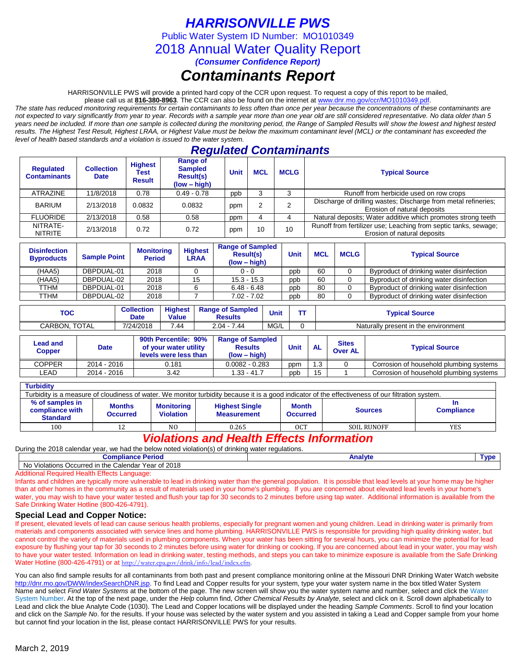# *HARRISONVILLE PWS*

Public Water System ID Number: MO1010349

2018 Annual Water Quality Report

*(Consumer Confidence Report)*

# *Contaminants Report*

HARRISONVILLE PWS will provide a printed hard copy of the CCR upon request. To request a copy of this report to be mailed,

please call us at **816-380-8963***.* The CCR can also be found on the internet at www.dnr.mo.gov/ccr/MO1010349.pdf.

*The state has reduced monitoring requirements for certain contaminants to less often than once per year because the concentrations of these contaminants are not expected to vary significantly from year to year. Records with a sample year more than one year old are still considered representative. No data older than 5 years need be included. If more than one sample is collected during the monitoring period, the Range of Sampled Results will show the lowest and highest tested results. The Highest Test Result, Highest LRAA, or Highest Value must be below the maximum contaminant level (MCL) or the contaminant has exceeded the level of health based standards and a violation is issued to the water system.* 

## *Regulated Contaminants*

| <b>Regulated</b><br><b>Contaminants</b> | <b>Collection</b><br><b>Date</b> | <b>Highest</b><br>Test<br><b>Result</b> | Range of<br><b>Sampled</b><br><b>Result(s)</b><br>$(low - high)$ | Unit | <b>MCL</b> | <b>MCLG</b> | <b>Typical Source</b>                                                                          |
|-----------------------------------------|----------------------------------|-----------------------------------------|------------------------------------------------------------------|------|------------|-------------|------------------------------------------------------------------------------------------------|
| <b>ATRAZINE</b>                         | 11/8/2018                        | 0.78                                    | $0.49 - 0.78$                                                    | ppb  |            |             | Runoff from herbicide used on row crops                                                        |
| <b>BARIUM</b>                           | 2/13/2018                        | 0.0832                                  | 0.0832                                                           | ppm  |            | ◠           | Discharge of drilling wastes; Discharge from metal refineries;<br>Erosion of natural deposits  |
| <b>FLUORIDE</b>                         | 2/13/2018                        | 0.58                                    | 0.58                                                             | ppm  |            |             | Natural deposits; Water additive which promotes strong teeth                                   |
| NITRATE-<br><b>NITRITE</b>              | 2/13/2018                        | 0.72                                    | 0.72                                                             | ppm  | 10         | 10          | Runoff from fertilizer use; Leaching from septic tanks, sewage;<br>Erosion of natural deposits |

| <b>Disinfection</b><br><b>Byproducts</b> | <b>Sample Point</b> | <b>Monitoring</b><br><b>Period</b> | <b>Highest</b><br>LRAA | <b>Range of Sampled</b><br><b>Result(s)</b><br>$(low - high)$ | Unit | <b>MCL</b> | <b>MCLG</b> | <b>Typical Source</b>                    |
|------------------------------------------|---------------------|------------------------------------|------------------------|---------------------------------------------------------------|------|------------|-------------|------------------------------------------|
| (HAA5)                                   | DBPDUAL-01          | 2018                               |                        | $0 - 0$                                                       | ppb  | 60         |             | Byproduct of drinking water disinfection |
| (HAA5)                                   | DBPDUAL-02          | 2018                               | 15                     | $15.3 - 15.3$                                                 | ppb  | 60         |             | Byproduct of drinking water disinfection |
| TTHM                                     | DBPDUAL-01          | 2018                               |                        | $6.48 - 6.48$                                                 | ppb  | 80         |             | Byproduct of drinking water disinfection |
| TTHM                                     | DBPDUAL-02          | 2018                               |                        | $7.02 - 7.02$                                                 | ppb  | 80         |             | Byproduct of drinking water disinfection |

| <b>TOC</b>              | <b>Collection</b><br>Date | <b>Highest</b><br><b>Value</b> | <b>Range of Sampled</b><br><b>Results</b> | Unit             | <b>Typical Source</b>                |
|-------------------------|---------------------------|--------------------------------|-------------------------------------------|------------------|--------------------------------------|
| <b>TOTAL</b><br>CARBON. | 7/24/2018                 | 744                            | 7.44<br>$2.04 -$                          | $\sim$<br>IVIG/L | Naturally present in the environment |

| Lead and<br><b>Copper</b> | <b>Date</b> | 90th Percentile: 90%<br>of your water utility<br>levels were less than | <b>Range of Sampled</b><br><b>Results</b><br>$(low - high)$ | <b>Unit</b> | <b>AL</b> | <b>Sites</b><br><b>Over AL</b> | <b>Typical Source</b>                   |
|---------------------------|-------------|------------------------------------------------------------------------|-------------------------------------------------------------|-------------|-----------|--------------------------------|-----------------------------------------|
| COPPER                    | 2014 - 2016 | 0.181                                                                  | $0.0082 - 0.283$                                            | ppm         | I.3       |                                | Corrosion of household plumbing systems |
| _EAD                      | 2014 - 2016 | 3.42                                                                   | l.33 - 41.7                                                 | ppb         | 15        |                                | Corrosion of household plumbing systems |

### **Turbidity**

| Turbidity is a measure of cloudiness of water. We monitor turbidity because it is a good indicator of the effectiveness of our filtration system.                                                                                                           |  |                |       |     |                    |            |  |  |
|-------------------------------------------------------------------------------------------------------------------------------------------------------------------------------------------------------------------------------------------------------------|--|----------------|-------|-----|--------------------|------------|--|--|
| % of samples in<br><b>Months</b><br><b>Month</b><br><b>Monitoring</b><br><b>Highest Single</b><br>compliance with<br><b>Compliance</b><br><b>Sources</b><br><b>Violation</b><br><b>Measurement</b><br><b>Occurred</b><br><b>Occurred</b><br><b>Standard</b> |  |                |       |     |                    |            |  |  |
| 100                                                                                                                                                                                                                                                         |  | N <sub>0</sub> | 0.265 | 0CT | <b>SOIL RUNOFF</b> | <b>YES</b> |  |  |

## *Violations and Health Effects Information*

During the 2018 calendar year, we had the below noted violation(s) of drinking water regulations.

| <b>Period</b><br>Compliance                                                        | Anal∨t⁄ | Tyne<br>. . |
|------------------------------------------------------------------------------------|---------|-------------|
| of 2018<br>No<br>∴alendar<br>Year<br>Occurred<br>Violations<br>the<br>ın<br>Galti. |         |             |

Additional Required Health Effects Language:

Infants and children are typically more vulnerable to lead in drinking water than the general population. It is possible that lead levels at your home may be higher than at other homes in the community as a result of materials used in your home's plumbing. If you are concerned about elevated lead levels in your home's water, you may wish to have your water tested and flush your tap for 30 seconds to 2 minutes before using tap water. Additional information is available from the Safe Drinking Water Hotline (800-426-4791).

### **Special Lead and Copper Notice:**

If present, elevated levels of lead can cause serious health problems, especially for pregnant women and young children. Lead in drinking water is primarily from materials and components associated with service lines and home plumbing. HARRISONVILLE PWS is responsible for providing high quality drinking water, but cannot control the variety of materials used in plumbing components. When your water has been sitting for several hours, you can minimize the potential for lead exposure by flushing your tap for 30 seconds to 2 minutes before using water for drinking or cooking. If you are concerned about lead in your water, you may wish to have your water tested. Information on lead in drinking water, testing methods, and steps you can take to minimize exposure is available from the Safe Drinking Water Hotline (800-426-4791) or at [http://water.epa.gov/drink/info/lead/index.cfm.](http://water.epa.gov/drink/info/lead/index.cfm)

You can also find sample results for all contaminants from both past and present compliance monitoring online at the Missouri DNR Drinking Water Watch website [http://dnr.mo.gov/DWW/indexSearchDNR.jsp.](http://dnr.mo.gov/DWW/indexSearchDNR.jsp) To find Lead and Copper results for your system, type your water system name in the box titled Water System Name and select *Find Water Systems* at the bottom of the page. The new screen will show you the water system name and number, select and click the Water System Number. At the top of the next page, under the *Help* column find, *Other Chemical Results by Analyte*, select and click on it. Scroll down alphabetically to Lead and click the blue Analyte Code (1030). The Lead and Copper locations will be displayed under the heading *Sample Comments*. Scroll to find your location and click on the *Sample No*. for the results. If your house was selected by the water system and you assisted in taking a Lead and Copper sample from your home but cannot find your location in the list, please contact HARRISONVILLE PWS for your results.